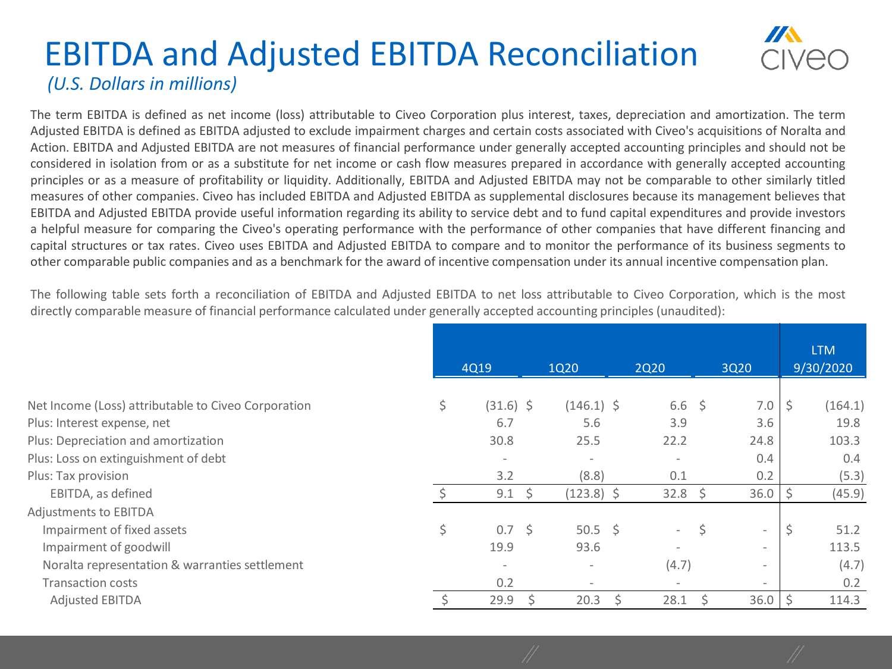## EBITDA and Adjusted EBITDA Reconciliation *(U.S. Dollars in millions)*

The term EBITDA is defined as net income (loss) attributable to Civeo Corporation plus interest, taxes, depreciation and amortization. The term Adjusted EBITDA is defined as EBITDA adjusted to exclude impairment charges and certain costs associated with Civeo's acquisitions of Noralta and Action. EBITDA and Adjusted EBITDA are not measures of financial performance under generally accepted accounting principles and should not be considered in isolation from or as a substitute for net income or cash flow measures prepared in accordance with generally accepted accounting principles or as a measure of profitability or liquidity. Additionally, EBITDA and Adjusted EBITDA may not be comparable to other similarly titled measures of other companies. Civeo has included EBITDA and Adjusted EBITDA as supplemental disclosures because its management believes that EBITDA and Adjusted EBITDA provide useful information regarding its ability to service debt and to fund capital expenditures and provide investors a helpful measure for comparing the Civeo's operating performance with the performance of other companies that have different financing and capital structures or tax rates. Civeo uses EBITDA and Adjusted EBITDA to compare and to monitor the performance of its business segments to other comparable public companies and as a benchmark for the award of incentive compensation under its annual incentive compensation plan.

The following table sets forth a reconciliation of EBITDA and Adjusted EBITDA to net loss attributable to Civeo Corporation, which is the most directly comparable measure of financial performance calculated under generally accepted accounting principles (unaudited):

|                                                     | 4Q19 |                          |    | 1Q20                     |  | <b>2Q20</b>              |    | 3Q20                     | <b>LTM</b><br>9/30/2020 |  |
|-----------------------------------------------------|------|--------------------------|----|--------------------------|--|--------------------------|----|--------------------------|-------------------------|--|
|                                                     |      |                          |    |                          |  |                          |    |                          |                         |  |
| Net Income (Loss) attributable to Civeo Corporation | \$.  | $(31.6)$ \$              |    | $(146.1)$ \$             |  | $6.6\frac{1}{5}$         |    | 7.0                      | \$<br>(164.1)           |  |
| Plus: Interest expense, net                         |      | 6.7                      |    | 5.6                      |  | 3.9                      |    | 3.6                      | 19.8                    |  |
| Plus: Depreciation and amortization                 |      | 30.8                     |    | 25.5                     |  | 22.2                     |    | 24.8                     | 103.3                   |  |
| Plus: Loss on extinguishment of debt                |      | $\overline{\phantom{a}}$ |    | $\overline{\phantom{a}}$ |  | $\overline{\phantom{a}}$ |    | 0.4                      | 0.4                     |  |
| Plus: Tax provision                                 |      | 3.2                      |    | (8.8)                    |  | 0.1                      |    | 0.2                      | (5.3)                   |  |
| EBITDA, as defined                                  |      | 9.1                      | Ŝ. | $(123.8)$ \$             |  | 32.8                     | \$ | 36.0                     | (45.9)                  |  |
| Adjustments to EBITDA                               |      |                          |    |                          |  |                          |    |                          |                         |  |
| Impairment of fixed assets                          | \$   | $0.7 \,$ \$              |    | $50.5 \div$              |  | $\overline{a}$           | \$ | $\overline{\phantom{a}}$ | \$<br>51.2              |  |
| Impairment of goodwill                              |      | 19.9                     |    | 93.6                     |  |                          |    | $\overline{\phantom{a}}$ | 113.5                   |  |
| Noralta representation & warranties settlement      |      | $\overline{\phantom{a}}$ |    | $\overline{\phantom{a}}$ |  | (4.7)                    |    | $\overline{\phantom{a}}$ | (4.7)                   |  |
| <b>Transaction costs</b>                            |      | 0.2                      |    | $\overline{\phantom{a}}$ |  | $\qquad \qquad$          |    | $\overline{\phantom{a}}$ | 0.2                     |  |
| <b>Adjusted EBITDA</b>                              |      | 29.9                     |    | 20.3                     |  | 28.1                     |    | 36.0                     | 114.3                   |  |